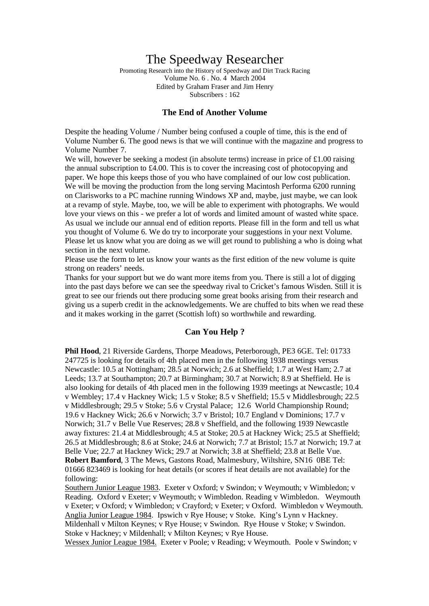# The Speedway Researcher

Promoting Research into the History of Speedway and Dirt Track Racing Volume No. 6 . No. 4 March 2004 Edited by Graham Fraser and Jim Henry Subscribers : 162

#### **The End of Another Volume**

Despite the heading Volume / Number being confused a couple of time, this is the end of Volume Number 6. The good news is that we will continue with the magazine and progress to Volume Number 7.

We will, however be seeking a modest (in absolute terms) increase in price of  $\pounds$ 1.00 raising the annual subscription to  $\text{\pounds}4.00$ . This is to cover the increasing cost of photocopying and paper. We hope this keeps those of you who have complained of our low cost publication. We will be moving the production from the long serving Macintosh Performa 6200 running on Clarisworks to a PC machine running Windows XP and, maybe, just maybe, we can look at a revamp of style. Maybe, too, we will be able to experiment with photographs. We would love your views on this - we prefer a lot of words and limited amount of wasted white space. As usual we include our annual end of edition reports. Please fill in the form and tell us what you thought of Volume 6. We do try to incorporate your suggestions in your next Volume. Please let us know what you are doing as we will get round to publishing a who is doing what section in the next volume.

Please use the form to let us know your wants as the first edition of the new volume is quite strong on readers' needs.

Thanks for your support but we do want more items from you. There is still a lot of digging into the past days before we can see the speedway rival to Cricket's famous Wisden. Still it is great to see our friends out there producing some great books arising from their research and giving us a superb credit in the acknowledgements. We are chuffed to bits when we read these and it makes working in the garret (Scottish loft) so worthwhile and rewarding.

#### **Can You Help ?**

**Phil Hood**, 21 Riverside Gardens, Thorpe Meadows, Peterborough, PE3 6GE. Tel: 01733 247725 is looking for details of 4th placed men in the following 1938 meetings versus Newcastle: 10.5 at Nottingham; 28.5 at Norwich; 2.6 at Sheffield; 1.7 at West Ham; 2.7 at Leeds; 13.7 at Southampton; 20.7 at Birmingham; 30.7 at Norwich; 8.9 at Sheffield. He is also looking for details of 4th placed men in the following 1939 meetings at Newcastle; 10.4 v Wembley; 17.4 v Hackney Wick; 1.5 v Stoke; 8.5 v Sheffield; 15.5 v Middlesbrough; 22.5 v Middlesbrough; 29.5 v Stoke; 5.6 v Crystal Palace; 12.6 World Championship Round; 19.6 v Hackney Wick; 26.6 v Norwich; 3.7 v Bristol; 10.7 England v Dominions; 17.7 v Norwich; 31.7 v Belle Vue Reserves; 28.8 v Sheffield, and the following 1939 Newcastle away fixtures: 21.4 at Middlesbrough; 4.5 at Stoke; 20.5 at Hackney Wick; 25.5 at Sheffield; 26.5 at Middlesbrough; 8.6 at Stoke; 24.6 at Norwich; 7.7 at Bristol; 15.7 at Norwich; 19.7 at Belle Vue; 22.7 at Hackney Wick; 29.7 at Norwich; 3.8 at Sheffield; 23.8 at Belle Vue. **Robert Bamford**, 3 The Mews, Gastons Road, Malmesbury, Wiltshire, SN16 0BE Tel: 01666 823469 is looking for heat details (or scores if heat details are not available) for the following:

Southern Junior League 1983. Exeter v Oxford; v Swindon; v Weymouth; v Wimbledon; v Reading. Oxford v Exeter; v Weymouth; v Wimbledon. Reading v Wimbledon. Weymouth v Exeter; v Oxford; v Wimbledon; v Crayford; v Exeter; v Oxford. Wimbledon v Weymouth. Anglia Junior League 1984. Ipswich v Rye House; v Stoke. King's Lynn v Hackney. Mildenhall v Milton Keynes; v Rye House; v Swindon. Rye House v Stoke; v Swindon. Stoke v Hackney; v Mildenhall; v Milton Keynes; v Rye House.

Wessex Junior League 1984. Exeter v Poole; v Reading; v Weymouth. Poole v Swindon; v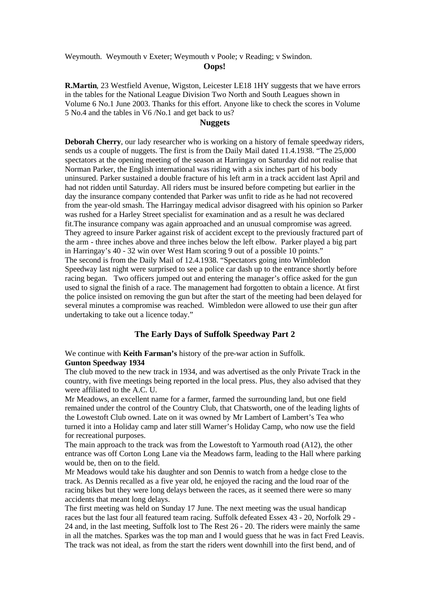Weymouth. Weymouth v Exeter; Weymouth v Poole; v Reading; v Swindon.

#### **Oops!**

**R.Martin**, 23 Westfield Avenue, Wigston, Leicester LE18 1HY suggests that we have errors in the tables for the National League Division Two North and South Leagues shown in Volume 6 No.1 June 2003. Thanks for this effort. Anyone like to check the scores in Volume 5 No.4 and the tables in V6 /No.1 and get back to us?

### **Nuggets**

**Deborah Cherry**, our lady researcher who is working on a history of female speedway riders, sends us a couple of nuggets. The first is from the Daily Mail dated 11.4.1938. "The 25,000 spectators at the opening meeting of the season at Harringay on Saturday did not realise that Norman Parker, the English international was riding with a six inches part of his body uninsured. Parker sustained a double fracture of his left arm in a track accident last April and had not ridden until Saturday. All riders must be insured before competing but earlier in the day the insurance company contended that Parker was unfit to ride as he had not recovered from the year-old smash. The Harringay medical advisor disagreed with his opinion so Parker was rushed for a Harley Street specialist for examination and as a result he was declared fit.The insurance company was again approached and an unusual compromise was agreed. They agreed to insure Parker against risk of accident except to the previously fractured part of the arm - three inches above and three inches below the left elbow. Parker played a big part in Harringay's 40 - 32 win over West Ham scoring 9 out of a possible 10 points." The second is from the Daily Mail of 12.4.1938. "Spectators going into Wimbledon Speedway last night were surprised to see a police car dash up to the entrance shortly before racing began. Two officers jumped out and entering the manager's office asked for the gun used to signal the finish of a race. The management had forgotten to obtain a licence. At first the police insisted on removing the gun but after the start of the meeting had been delayed for several minutes a compromise was reached. Wimbledon were allowed to use their gun after undertaking to take out a licence today."

# **The Early Days of Suffolk Speedway Part 2**

We continue with **Keith Farman's** history of the pre-war action in Suffolk. **Gunton Speedway 1934**

The club moved to the new track in 1934, and was advertised as the only Private Track in the country, with five meetings being reported in the local press. Plus, they also advised that they were affiliated to the A.C. U.

Mr Meadows, an excellent name for a farmer, farmed the surrounding land, but one field remained under the control of the Country Club, that Chatsworth, one of the leading lights of the Lowestoft Club owned. Late on it was owned by Mr Lambert of Lambert's Tea who turned it into a Holiday camp and later still Warner's Holiday Camp, who now use the field for recreational purposes.

The main approach to the track was from the Lowestoft to Yarmouth road (A12), the other entrance was off Corton Long Lane via the Meadows farm, leading to the Hall where parking would be, then on to the field.

Mr Meadows would take his daughter and son Dennis to watch from a hedge close to the track. As Dennis recalled as a five year old, he enjoyed the racing and the loud roar of the racing bikes but they were long delays between the races, as it seemed there were so many accidents that meant long delays.

The first meeting was held on Sunday 17 June. The next meeting was the usual handicap races but the last four all featured team racing. Suffolk defeated Essex 43 - 20, Norfolk 29 - 24 and, in the last meeting, Suffolk lost to The Rest 26 - 20. The riders were mainly the same in all the matches. Sparkes was the top man and I would guess that he was in fact Fred Leavis. The track was not ideal, as from the start the riders went downhill into the first bend, and of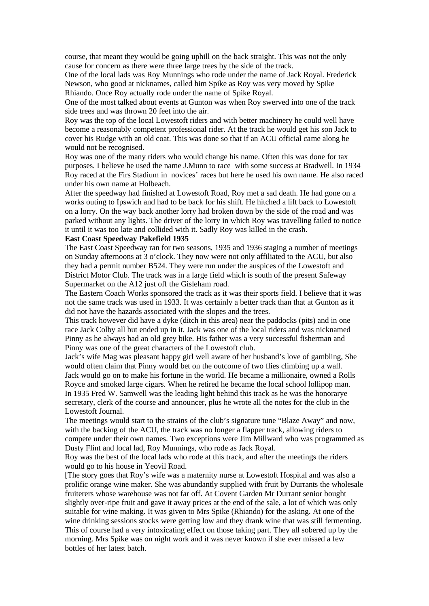course, that meant they would be going uphill on the back straight. This was not the only cause for concern as there were three large trees by the side of the track.

One of the local lads was Roy Munnings who rode under the name of Jack Royal. Frederick Newson, who good at nicknames, called him Spike as Roy was very moved by Spike Rhiando. Once Roy actually rode under the name of Spike Royal.

One of the most talked about events at Gunton was when Roy swerved into one of the track side trees and was thrown 20 feet into the air.

Roy was the top of the local Lowestoft riders and with better machinery he could well have become a reasonably competent professional rider. At the track he would get his son Jack to cover his Rudge with an old coat. This was done so that if an ACU official came along he would not be recognised.

Roy was one of the many riders who would change his name. Often this was done for tax purposes. I believe he used the name J.Munn to race with some success at Bradwell. In 1934 Roy raced at the Firs Stadium in novices' races but here he used his own name. He also raced under his own name at Holbeach.

After the speedway had finished at Lowestoft Road, Roy met a sad death. He had gone on a works outing to Ipswich and had to be back for his shift. He hitched a lift back to Lowestoft on a lorry. On the way back another lorry had broken down by the side of the road and was parked without any lights. The driver of the lorry in which Roy was travelling failed to notice it until it was too late and collided with it. Sadly Roy was killed in the crash.

#### **East Coast Speedway Pakefield 1935**

The East Coast Speedway ran for two seasons, 1935 and 1936 staging a number of meetings on Sunday afternoons at 3 o'clock. They now were not only affiliated to the ACU, but also they had a permit number B524. They were run under the auspices of the Lowestoft and District Motor Club. The track was in a large field which is south of the present Safeway Supermarket on the A12 just off the Gisleham road.

The Eastern Coach Works sponsored the track as it was their sports field. I believe that it was not the same track was used in 1933. It was certainly a better track than that at Gunton as it did not have the hazards associated with the slopes and the trees.

This track however did have a dyke (ditch in this area) near the paddocks (pits) and in one race Jack Colby all but ended up in it. Jack was one of the local riders and was nicknamed Pinny as he always had an old grey bike. His father was a very successful fisherman and Pinny was one of the great characters of the Lowestoft club.

Jack's wife Mag was pleasant happy girl well aware of her husband's love of gambling, She would often claim that Pinny would bet on the outcome of two flies climbing up a wall. Jack would go on to make his fortune in the world. He became a millionaire, owned a Rolls Royce and smoked large cigars. When he retired he became the local school lollipop man. In 1935 Fred W. Samwell was the leading light behind this track as he was the honorarye secretary, clerk of the course and announcer, plus he wrote all the notes for the club in the Lowestoft Journal.

The meetings would start to the strains of the club's signature tune "Blaze Away" and now, with the backing of the ACU, the track was no longer a flapper track, allowing riders to compete under their own names. Two exceptions were Jim Millward who was programmed as Dusty Flint and local lad, Roy Munnings, who rode as Jack Royal.

Roy was the best of the local lads who rode at this track, and after the meetings the riders would go to his house in Yeovil Road.

[The story goes that Roy's wife was a maternity nurse at Lowestoft Hospital and was also a prolific orange wine maker. She was abundantly supplied with fruit by Durrants the wholesale fruiterers whose warehouse was not far off. At Covent Garden Mr Durrant senior bought slightly over-ripe fruit and gave it away prices at the end of the sale, a lot of which was only suitable for wine making. It was given to Mrs Spike (Rhiando) for the asking. At one of the wine drinking sessions stocks were getting low and they drank wine that was still fermenting. This of course had a very intoxicating effect on those taking part. They all sobered up by the morning. Mrs Spike was on night work and it was never known if she ever missed a few bottles of her latest batch.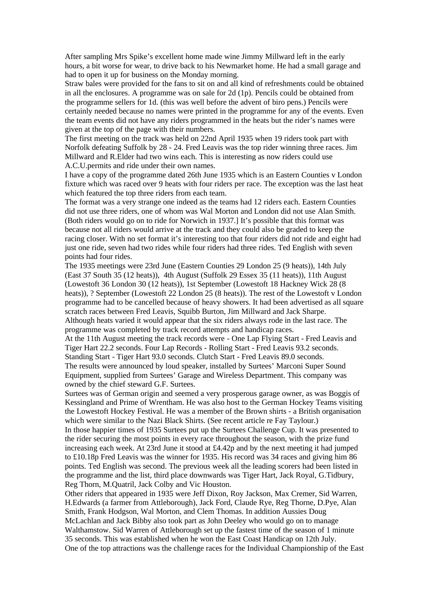After sampling Mrs Spike's excellent home made wine Jimmy Millward left in the early hours, a bit worse for wear, to drive back to his Newmarket home. He had a small garage and had to open it up for business on the Monday morning.

Straw bales were provided for the fans to sit on and all kind of refreshments could be obtained in all the enclosures. A programme was on sale for 2d (1p). Pencils could be obtained from the programme sellers for 1d. (this was well before the advent of biro pens.) Pencils were certainly needed because no names were printed in the programme for any of the events. Even the team events did not have any riders programmed in the heats but the rider's names were given at the top of the page with their numbers.

The first meeting on the track was held on 22nd April 1935 when 19 riders took part with Norfolk defeating Suffolk by 28 - 24. Fred Leavis was the top rider winning three races. Jim Millward and R.Elder had two wins each. This is interesting as now riders could use A.C.U.permits and ride under their own names.

I have a copy of the programme dated 26th June 1935 which is an Eastern Counties v London fixture which was raced over 9 heats with four riders per race. The exception was the last heat which featured the top three riders from each team.

The format was a very strange one indeed as the teams had 12 riders each. Eastern Counties did not use three riders, one of whom was Wal Morton and London did not use Alan Smith. (Both riders would go on to ride for Norwich in 1937.] It's possible that this format was because not all riders would arrive at the track and they could also be graded to keep the racing closer. With no set format it's interesting too that four riders did not ride and eight had just one ride, seven had two rides while four riders had three rides. Ted English with seven points had four rides.

The 1935 meetings were 23rd June (Eastern Counties 29 London 25 (9 heats)), 14th July (East 37 South 35 (12 heats)), 4th August (Suffolk 29 Essex 35 (11 heats)), 11th August (Lowestoft 36 London 30 (12 heats)), 1st September (Lowestoft 18 Hackney Wick 28 (8 heats)), ? September (Lowestoft 22 London 25 (8 heats)). The rest of the Lowestoft v London programme had to be cancelled because of heavy showers. It had been advertised as all square scratch races between Fred Leavis, Squibb Burton, Jim Millward and Jack Sharpe.

Although heats varied it would appear that the six riders always rode in the last race. The programme was completed by track record attempts and handicap races.

At the 11th August meeting the track records were - One Lap Flying Start - Fred Leavis and Tiger Hart 22.2 seconds. Four Lap Records - Rolling Start - Fred Leavis 93.2 seconds. Standing Start - Tiger Hart 93.0 seconds. Clutch Start - Fred Leavis 89.0 seconds. The results were announced by loud speaker, installed by Surtees' Marconi Super Sound Equipment, supplied from Surtees' Garage and Wireless Department. This company was owned by the chief steward G.F. Surtees.

Surtees was of German origin and seemed a very prosperous garage owner, as was Boggis of Kessingland and Prime of Wrentham. He was also host to the German Hockey Teams visiting the Lowestoft Hockey Festival. He was a member of the Brown shirts - a British organisation which were similar to the Nazi Black Shirts. (See recent article re Fay Taylour.)

In those happier times of 1935 Surtees put up the Surtees Challenge Cup. It was presented to the rider securing the most points in every race throughout the season, with the prize fund increasing each week. At 23rd June it stood at £4.42p and by the next meeting it had jumped to £10.18p Fred Leavis was the winner for 1935. His record was 34 races and giving him 86 points. Ted English was second. The previous week all the leading scorers had been listed in the programme and the list, third place downwards was Tiger Hart, Jack Royal, G.Tidbury, Reg Thorn, M.Quatril, Jack Colby and Vic Houston.

Other riders that appeared in 1935 were Jeff Dixon, Roy Jackson, Max Cremer, Sid Warren, H.Edwards (a farmer from Attleborough), Jack Ford, Claude Rye, Reg Thorne, D.Pye, Alan Smith, Frank Hodgson, Wal Morton, and Clem Thomas. In addition Aussies Doug McLachlan and Jack Bibby also took part as John Deeley who would go on to manage Walthamstow. Sid Warren of Attleborough set up the fastest time of the season of 1 minute 35 seconds. This was established when he won the East Coast Handicap on 12th July. One of the top attractions was the challenge races for the Individual Championship of the East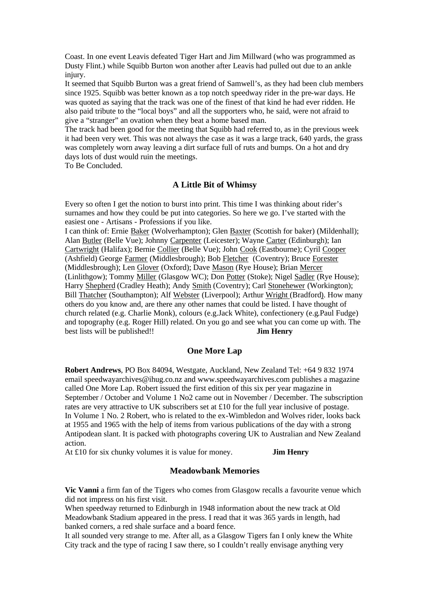Coast. In one event Leavis defeated Tiger Hart and Jim Millward (who was programmed as Dusty Flint.) while Squibb Burton won another after Leavis had pulled out due to an ankle injury.

It seemed that Squibb Burton was a great friend of Samwell's, as they had been club members since 1925. Squibb was better known as a top notch speedway rider in the pre-war days. He was quoted as saying that the track was one of the finest of that kind he had ever ridden. He also paid tribute to the "local boys" and all the supporters who, he said, were not afraid to give a "stranger" an ovation when they beat a home based man.

The track had been good for the meeting that Squibb had referred to, as in the previous week it had been very wet. This was not always the case as it was a large track, 640 yards, the grass was completely worn away leaving a dirt surface full of ruts and bumps. On a hot and dry days lots of dust would ruin the meetings.

To Be Concluded.

#### **A Little Bit of Whimsy**

Every so often I get the notion to burst into print. This time I was thinking about rider's surnames and how they could be put into categories. So here we go. I've started with the easiest one - Artisans - Professions if you like.

I can think of: Ernie Baker (Wolverhampton); Glen Baxter (Scottish for baker) (Mildenhall); Alan Butler (Belle Vue); Johnny Carpenter (Leicester); Wayne Carter (Edinburgh); Ian Cartwright (Halifax); Bernie Collier (Belle Vue); John Cook (Eastbourne); Cyril Cooper (Ashfield) George Farmer (Middlesbrough); Bob Fletcher (Coventry); Bruce Forester (Middlesbrough); Len Glover (Oxford); Dave Mason (Rye House); Brian Mercer (Linlithgow); Tommy Miller (Glasgow WC); Don Potter (Stoke); Nigel Sadler (Rye House); Harry Shepherd (Cradley Heath); Andy Smith (Coventry); Carl Stonehewer (Workington); Bill Thatcher (Southampton); Alf Webster (Liverpool); Arthur Wright (Bradford). How many others do you know and, are there any other names that could be listed. I have thought of church related (e.g. Charlie Monk), colours (e.g.Jack White), confectionery (e.g.Paul Fudge) and topography (e.g. Roger Hill) related. On you go and see what you can come up with. The best lists will be published!! **Jim Henry**

#### **One More Lap**

**Robert Andrews**, PO Box 84094, Westgate, Auckland, New Zealand Tel: +64 9 832 1974 email speedwayarchives@ihug.co.nz and www.speedwayarchives.com publishes a magazine called One More Lap. Robert issued the first edition of this six per year magazine in September / October and Volume 1 No2 came out in November / December. The subscription rates are very attractive to UK subscribers set at £10 for the full year inclusive of postage. In Volume 1 No. 2 Robert, who is related to the ex-Wimbledon and Wolves rider, looks back at 1955 and 1965 with the help of items from various publications of the day with a strong Antipodean slant. It is packed with photographs covering UK to Australian and New Zealand action.

At £10 for six chunky volumes it is value for money. **Jim Henry**

#### **Meadowbank Memories**

**Vic Vanni** a firm fan of the Tigers who comes from Glasgow recalls a favourite venue which did not impress on his first visit.

When speedway returned to Edinburgh in 1948 information about the new track at Old Meadowbank Stadium appeared in the press. I read that it was 365 yards in length, had banked corners, a red shale surface and a board fence.

It all sounded very strange to me. After all, as a Glasgow Tigers fan I only knew the White City track and the type of racing I saw there, so I couldn't really envisage anything very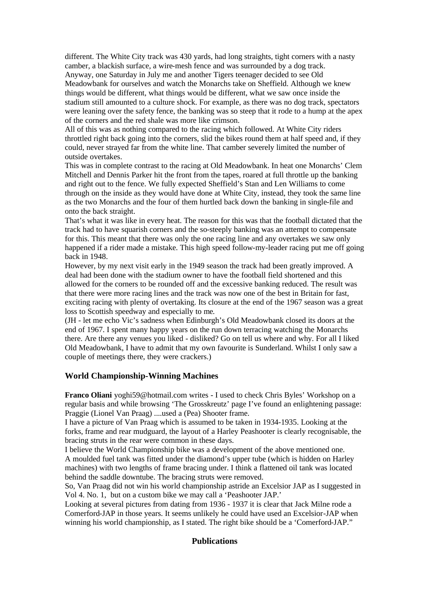different. The White City track was 430 yards, had long straights, tight corners with a nasty camber, a blackish surface, a wire-mesh fence and was surrounded by a dog track. Anyway, one Saturday in July me and another Tigers teenager decided to see Old Meadowbank for ourselves and watch the Monarchs take on Sheffield. Although we knew things would be different, what things would be different, what we saw once inside the stadium still amounted to a culture shock. For example, as there was no dog track, spectators were leaning over the safety fence, the banking was so steep that it rode to a hump at the apex of the corners and the red shale was more like crimson.

All of this was as nothing compared to the racing which followed. At White City riders throttled right back going into the corners, slid the bikes round them at half speed and, if they could, never strayed far from the white line. That camber severely limited the number of outside overtakes.

This was in complete contrast to the racing at Old Meadowbank. In heat one Monarchs' Clem Mitchell and Dennis Parker hit the front from the tapes, roared at full throttle up the banking and right out to the fence. We fully expected Sheffield's Stan and Len Williams to come through on the inside as they would have done at White City, instead, they took the same line as the two Monarchs and the four of them hurtled back down the banking in single-file and onto the back straight.

That's what it was like in every heat. The reason for this was that the football dictated that the track had to have squarish corners and the so-steeply banking was an attempt to compensate for this. This meant that there was only the one racing line and any overtakes we saw only happened if a rider made a mistake. This high speed follow-my-leader racing put me off going back in 1948.

However, by my next visit early in the 1949 season the track had been greatly improved. A deal had been done with the stadium owner to have the football field shortened and this allowed for the corners to be rounded off and the excessive banking reduced. The result was that there were more racing lines and the track was now one of the best in Britain for fast, exciting racing with plenty of overtaking. Its closure at the end of the 1967 season was a great loss to Scottish speedway and especially to me.

(JH - let me echo Vic's sadness when Edinburgh's Old Meadowbank closed its doors at the end of 1967. I spent many happy years on the run down terracing watching the Monarchs there. Are there any venues you liked - disliked? Go on tell us where and why. For all I liked Old Meadowbank, I have to admit that my own favourite is Sunderland. Whilst I only saw a couple of meetings there, they were crackers.)

#### **World Championship-Winning Machines**

**Franco Oliani** yoghi59@hotmail.com writes - I used to check Chris Byles' Workshop on a regular basis and while browsing 'The Grosskreutz' page I've found an enlightening passage: Praggie (Lionel Van Praag) ....used a (Pea) Shooter frame.

I have a picture of Van Praag which is assumed to be taken in 1934-1935. Looking at the forks, frame and rear mudguard, the layout of a Harley Peashooter is clearly recognisable, the bracing struts in the rear were common in these days.

I believe the World Championship bike was a development of the above mentioned one. A moulded fuel tank was fitted under the diamond's upper tube (which is hidden on Harley machines) with two lengths of frame bracing under. I think a flattened oil tank was located behind the saddle downtube. The bracing struts were removed.

So, Van Praag did not win his world championship astride an Excelsior JAP as I suggested in Vol 4. No. 1, but on a custom bike we may call a 'Peashooter JAP.'

Looking at several pictures from dating from 1936 - 1937 it is clear that Jack Milne rode a Comerford-JAP in those years. It seems unlikely he could have used an Excelsior-JAP when winning his world championship, as I stated. The right bike should be a 'Comerford-JAP."

#### **Publications**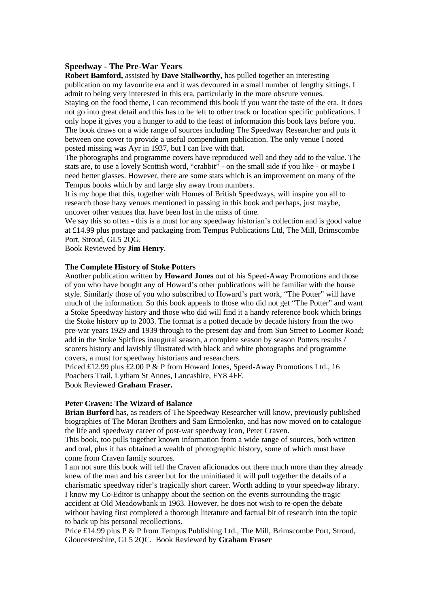#### **Speedway - The Pre-War Years**

**Robert Bamford,** assisted by **Dave Stallworthy,** has pulled together an interesting publication on my favourite era and it was devoured in a small number of lengthy sittings. I admit to being very interested in this era, particularly in the more obscure venues. Staying on the food theme, I can recommend this book if you want the taste of the era. It does not go into great detail and this has to be left to other track or location specific publications. I only hope it gives you a hunger to add to the feast of information this book lays before you. The book draws on a wide range of sources including The Speedway Researcher and puts it between one cover to provide a useful compendium publication. The only venue I noted posted missing was Ayr in 1937, but I can live with that.

The photographs and programme covers have reproduced well and they add to the value. The stats are, to use a lovely Scottish word, "crabbit" - on the small side if you like - or maybe I need better glasses. However, there are some stats which is an improvement on many of the Tempus books which by and large shy away from numbers.

It is my hope that this, together with Homes of British Speedways, will inspire you all to research those hazy venues mentioned in passing in this book and perhaps, just maybe, uncover other venues that have been lost in the mists of time.

We say this so often - this is a must for any speedway historian's collection and is good value at £14.99 plus postage and packaging from Tempus Publications Ltd, The Mill, Brimscombe Port, Stroud, GL5 2QG.

Book Reviewed by **Jim Henry**.

#### **The Complete History of Stoke Potters**

Another publication written by **Howard Jones** out of his Speed-Away Promotions and those of you who have bought any of Howard's other publications will be familiar with the house style. Similarly those of you who subscribed to Howard's part work, "The Potter" will have much of the information. So this book appeals to those who did not get "The Potter" and want a Stoke Speedway history and those who did will find it a handy reference book which brings the Stoke history up to 2003. The format is a potted decade by decade history from the two pre-war years 1929 and 1939 through to the present day and from Sun Street to Loomer Road; add in the Stoke Spitfires inaugural season, a complete season by season Potters results / scorers history and lavishly illustrated with black and white photographs and programme covers, a must for speedway historians and researchers.

Priced £12.99 plus £2.00 P & P from Howard Jones, Speed-Away Promotions Ltd., 16 Poachers Trail, Lytham St Annes, Lancashire, FY8 4FF. Book Reviewed **Graham Fraser.**

# **Peter Craven: The Wizard of Balance**

**Brian Burford** has, as readers of The Speedway Researcher will know, previously published biographies of The Moran Brothers and Sam Ermolenko, and has now moved on to catalogue the life and speedway career of post-war speedway icon, Peter Craven.

This book, too pulls together known information from a wide range of sources, both written and oral, plus it has obtained a wealth of photographic history, some of which must have come from Craven family sources.

I am not sure this book will tell the Craven aficionados out there much more than they already knew of the man and his career but for the uninitiated it will pull together the details of a charismatic speedway rider's tragically short career. Worth adding to your speedway library. I know my Co-Editor is unhappy about the section on the events surrounding the tragic accident at Old Meadowbank in 1963. However, he does not wish to re-open the debate without having first completed a thorough literature and factual bit of research into the topic to back up his personal recollections.

Price £14.99 plus P & P from Tempus Publishing Ltd., The Mill, Brimscombe Port, Stroud, Gloucestershire, GL5 2QC. Book Reviewed by **Graham Fraser**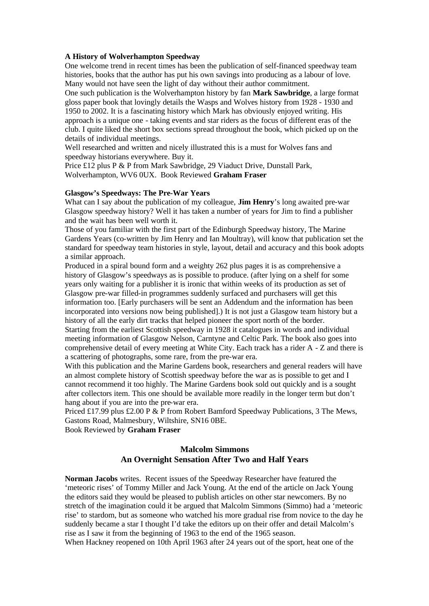#### **A History of Wolverhampton Speedway**

One welcome trend in recent times has been the publication of self-financed speedway team histories, books that the author has put his own savings into producing as a labour of love. Many would not have seen the light of day without their author commitment.

One such publication is the Wolverhampton history by fan **Mark Sawbridge**, a large format gloss paper book that lovingly details the Wasps and Wolves history from 1928 - 1930 and 1950 to 2002. It is a fascinating history which Mark has obviously enjoyed writing. His approach is a unique one - taking events and star riders as the focus of different eras of the club. I quite liked the short box sections spread throughout the book, which picked up on the details of individual meetings.

Well researched and written and nicely illustrated this is a must for Wolves fans and speedway historians everywhere. Buy it.

Price £12 plus P & P from Mark Sawbridge, 29 Viaduct Drive, Dunstall Park, Wolverhampton, WV6 0UX. Book Reviewed **Graham Fraser**

#### **Glasgow's Speedways: The Pre-War Years**

What can I say about the publication of my colleague, **Jim Henry**'s long awaited pre-war Glasgow speedway history? Well it has taken a number of years for Jim to find a publisher and the wait has been well worth it.

Those of you familiar with the first part of the Edinburgh Speedway history, The Marine Gardens Years (co-written by Jim Henry and Ian Moultray), will know that publication set the standard for speedway team histories in style, layout, detail and accuracy and this book adopts a similar approach.

Produced in a spiral bound form and a weighty 262 plus pages it is as comprehensive a history of Glasgow's speedways as is possible to produce. (after lying on a shelf for some years only waiting for a publisher it is ironic that within weeks of its production as set of Glasgow pre-war filled-in programmes suddenly surfaced and purchasers will get this information too. [Early purchasers will be sent an Addendum and the information has been incorporated into versions now being published].) It is not just a Glasgow team history but a history of all the early dirt tracks that helped pioneer the sport north of the border.

Starting from the earliest Scottish speedway in 1928 it catalogues in words and individual meeting information of Glasgow Nelson, Carntyne and Celtic Park. The book also goes into comprehensive detail of every meeting at White City. Each track has a rider A - Z and there is a scattering of photographs, some rare, from the pre-war era.

With this publication and the Marine Gardens book, researchers and general readers will have an almost complete history of Scottish speedway before the war as is possible to get and I cannot recommend it too highly. The Marine Gardens book sold out quickly and is a sought after collectors item. This one should be available more readily in the longer term but don't hang about if you are into the pre-war era.

Priced £17.99 plus £2.00 P & P from Robert Bamford Speedway Publications, 3 The Mews, Gastons Road, Malmesbury, Wiltshire, SN16 0BE.

Book Reviewed by **Graham Fraser**

# **Malcolm Simmons An Overnight Sensation After Two and Half Years**

**Norman Jacobs** writes. Recent issues of the Speedway Researcher have featured the 'meteoric rises' of Tommy Miller and Jack Young. At the end of the article on Jack Young the editors said they would be pleased to publish articles on other star newcomers. By no stretch of the imagination could it be argued that Malcolm Simmons (Simmo) had a 'meteoric rise' to stardom, but as someone who watched his more gradual rise from novice to the day he suddenly became a star I thought I'd take the editors up on their offer and detail Malcolm's rise as I saw it from the beginning of 1963 to the end of the 1965 season.

When Hackney reopened on 10th April 1963 after 24 years out of the sport, heat one of the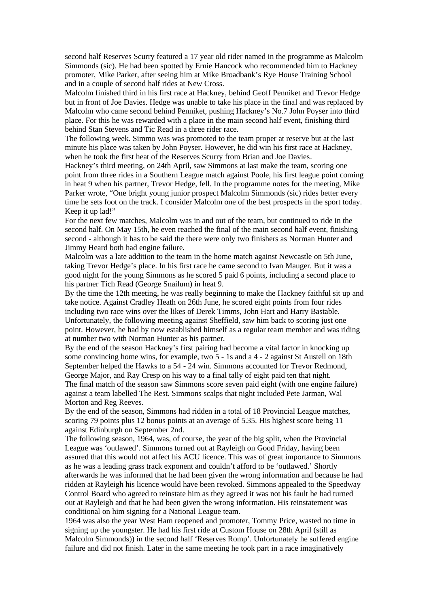second half Reserves Scurry featured a 17 year old rider named in the programme as Malcolm Simmonds (sic). He had been spotted by Ernie Hancock who recommended him to Hackney promoter, Mike Parker, after seeing him at Mike Broadbank's Rye House Training School and in a couple of second half rides at New Cross.

Malcolm finished third in his first race at Hackney, behind Geoff Penniket and Trevor Hedge but in front of Joe Davies. Hedge was unable to take his place in the final and was replaced by Malcolm who came second behind Penniket, pushing Hackney's No.7 John Poyser into third place. For this he was rewarded with a place in the main second half event, finishing third behind Stan Stevens and Tic Read in a three rider race.

The following week. Simmo was was promoted to the team proper at reserve but at the last minute his place was taken by John Poyser. However, he did win his first race at Hackney, when he took the first heat of the Reserves Scurry from Brian and Joe Davies.

Hackney's third meeting, on 24th April, saw Simmons at last make the team, scoring one point from three rides in a Southern League match against Poole, his first league point coming in heat 9 when his partner, Trevor Hedge, fell. In the programme notes for the meeting, Mike Parker wrote, "One bright young junior prospect Malcolm Simmonds (sic) rides better every time he sets foot on the track. I consider Malcolm one of the best prospects in the sport today. Keep it up lad!"

For the next few matches, Malcolm was in and out of the team, but continued to ride in the second half. On May 15th, he even reached the final of the main second half event, finishing second - although it has to be said the there were only two finishers as Norman Hunter and Jimmy Heard both had engine failure.

Malcolm was a late addition to the team in the home match against Newcastle on 5th June, taking Trevor Hedge's place. In his first race he came second to Ivan Mauger. But it was a good night for the young Simmons as he scored 5 paid 6 points, including a second place to his partner Tich Read (George Snailum) in heat 9.

By the time the 12th meeting, he was really beginning to make the Hackney faithful sit up and take notice. Against Cradley Heath on 26th June, he scored eight points from four rides including two race wins over the likes of Derek Timms, John Hart and Harry Bastable. Unfortunately, the following meeting against Sheffield, saw him back to scoring just one point. However, he had by now established himself as a regular team member and was riding at number two with Norman Hunter as his partner.

By the end of the season Hackney's first pairing had become a vital factor in knocking up some convincing home wins, for example, two 5 - 1s and a 4 - 2 against St Austell on 18th September helped the Hawks to a 54 - 24 win. Simmons accounted for Trevor Redmond, George Major, and Ray Cresp on his way to a final tally of eight paid ten that night. The final match of the season saw Simmons score seven paid eight (with one engine failure) against a team labelled The Rest. Simmons scalps that night included Pete Jarman, Wal Morton and Reg Reeves.

By the end of the season, Simmons had ridden in a total of 18 Provincial League matches, scoring 79 points plus 12 bonus points at an average of 5.35. His highest score being 11 against Edinburgh on September 2nd.

The following season, 1964, was, of course, the year of the big split, when the Provincial League was 'outlawed'. Simmons turned out at Rayleigh on Good Friday, having been assured that this would not affect his ACU licence. This was of great importance to Simmons as he was a leading grass track exponent and couldn't afford to be 'outlawed.' Shortly afterwards he was informed that he had been given the wrong information and because he had ridden at Rayleigh his licence would have been revoked. Simmons appealed to the Speedway Control Board who agreed to reinstate him as they agreed it was not his fault he had turned out at Rayleigh and that he had been given the wrong information. His reinstatement was conditional on him signing for a National League team.

1964 was also the year West Ham reopened and promoter, Tommy Price, wasted no time in signing up the youngster. He had his first ride at Custom House on 28th April (still as Malcolm Simmonds)) in the second half 'Reserves Romp'. Unfortunately he suffered engine failure and did not finish. Later in the same meeting he took part in a race imaginatively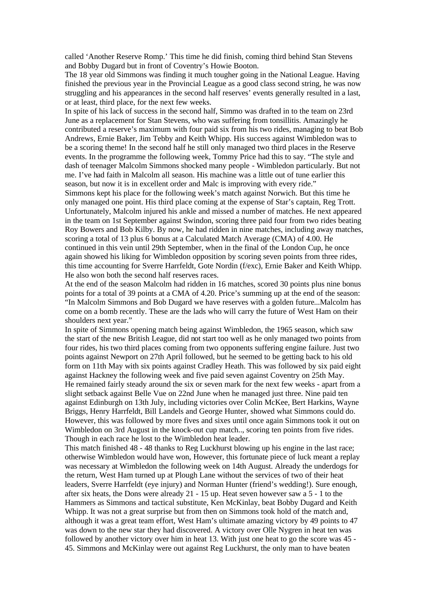called 'Another Reserve Romp.' This time he did finish, coming third behind Stan Stevens and Bobby Dugard but in front of Coventry's Howie Booton.

The 18 year old Simmons was finding it much tougher going in the National League. Having finished the previous year in the Provincial League as a good class second string, he was now struggling and his appearances in the second half reserves' events generally resulted in a last, or at least, third place, for the next few weeks.

In spite of his lack of success in the second half, Simmo was drafted in to the team on 23rd June as a replacement for Stan Stevens, who was suffering from tonsillitis. Amazingly he contributed a reserve's maximum with four paid six from his two rides, managing to beat Bob Andrews, Ernie Baker, Jim Tebby and Keith Whipp. His success against Wimbledon was to be a scoring theme! In the second half he still only managed two third places in the Reserve events. In the programme the following week, Tommy Price had this to say. "The style and dash of teenager Malcolm Simmons shocked many people - Wimbledon particularly. But not me. I've had faith in Malcolm all season. His machine was a little out of tune earlier this season, but now it is in excellent order and Malc is improving with every ride."

Simmons kept his place for the following week's match against Norwich. But this time he only managed one point. His third place coming at the expense of Star's captain, Reg Trott. Unfortunately, Malcolm injured his ankle and missed a number of matches. He next appeared in the team on 1st September against Swindon, scoring three paid four from two rides beating Roy Bowers and Bob Kilby. By now, he had ridden in nine matches, including away matches, scoring a total of 13 plus 6 bonus at a Calculated Match Average (CMA) of 4.00. He continued in this vein until 29th September, when in the final of the London Cup, he once again showed his liking for Wimbledon opposition by scoring seven points from three rides, this time accounting for Sverre Harrfeldt, Gote Nordin (f/exc), Ernie Baker and Keith Whipp. He also won both the second half reserves races.

At the end of the season Malcolm had ridden in 16 matches, scored 30 points plus nine bonus points for a total of 39 points at a CMA of 4.20. Price's summing up at the end of the season: "In Malcolm Simmons and Bob Dugard we have reserves with a golden future...Malcolm has come on a bomb recently. These are the lads who will carry the future of West Ham on their shoulders next year."

In spite of Simmons opening match being against Wimbledon, the 1965 season, which saw the start of the new British League, did not start too well as he only managed two points from four rides, his two third places coming from two opponents suffering engine failure. Just two points against Newport on 27th April followed, but he seemed to be getting back to his old form on 11th May with six points against Cradley Heath. This was followed by six paid eight against Hackney the following week and five paid seven against Coventry on 25th May. He remained fairly steady around the six or seven mark for the next few weeks - apart from a slight setback against Belle Vue on 22nd June when he managed just three. Nine paid ten against Edinburgh on 13th July, including victories over Colin McKee, Bert Harkins, Wayne Briggs, Henry Harrfeldt, Bill Landels and George Hunter, showed what Simmons could do. However, this was followed by more fives and sixes until once again Simmons took it out on Wimbledon on 3rd August in the knock-out cup match... scoring ten points from five rides. Though in each race he lost to the Wimbledon heat leader.

This match finished 48 - 48 thanks to Reg Luckhurst blowing up his engine in the last race; otherwise Wimbledon would have won, However, this fortunate piece of luck meant a replay was necessary at Wimbledon the following week on 14th August. Already the underdogs for the return, West Ham turned up at Plough Lane without the services of two of their heat leaders, Sverre Harrfeldt (eye injury) and Norman Hunter (friend's wedding!). Sure enough, after six heats, the Dons were already 21 - 15 up. Heat seven however saw a 5 - 1 to the Hammers as Simmons and tactical substitute, Ken McKinlay, beat Bobby Dugard and Keith Whipp. It was not a great surprise but from then on Simmons took hold of the match and, although it was a great team effort, West Ham's ultimate amazing victory by 49 points to 47 was down to the new star they had discovered. A victory over Olle Nygren in heat ten was followed by another victory over him in heat 13. With just one heat to go the score was 45 - 45. Simmons and McKinlay were out against Reg Luckhurst, the only man to have beaten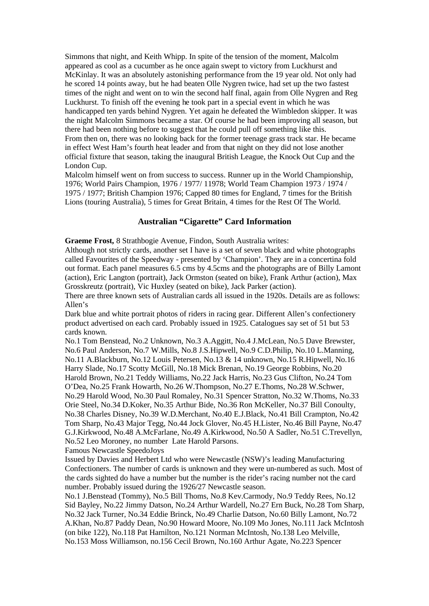Simmons that night, and Keith Whipp. In spite of the tension of the moment, Malcolm appeared as cool as a cucumber as he once again swept to victory from Luckhurst and McKinlay. It was an absolutely astonishing performance from the 19 year old. Not only had he scored 14 points away, but he had beaten Olle Nygren twice, had set up the two fastest times of the night and went on to win the second half final, again from Olle Nygren and Reg Luckhurst. To finish off the evening he took part in a special event in which he was handicapped ten yards behind Nygren. Yet again he defeated the Wimbledon skipper. It was the night Malcolm Simmons became a star. Of course he had been improving all season, but there had been nothing before to suggest that he could pull off something like this. From then on, there was no looking back for the former teenage grass track star. He became in effect West Ham's fourth heat leader and from that night on they did not lose another official fixture that season, taking the inaugural British League, the Knock Out Cup and the London Cup.

Malcolm himself went on from success to success. Runner up in the World Championship, 1976; World Pairs Champion, 1976 / 1977/ 11978; World Team Champion 1973 / 1974 / 1975 / 1977; British Champion 1976; Capped 80 times for England, 7 times for the British Lions (touring Australia), 5 times for Great Britain, 4 times for the Rest Of The World.

#### **Australian "Cigarette" Card Information**

**Graeme Frost,** 8 Strathbogie Avenue, Findon, South Australia writes:

Although not strictly cards, another set I have is a set of seven black and white photographs called Favourites of the Speedway - presented by 'Champion'. They are in a concertina fold out format. Each panel measures 6.5 cms by 4.5cms and the photographs are of Billy Lamont (action), Eric Langton (portrait), Jack Ormston (seated on bike), Frank Arthur (action), Max Grosskreutz (portrait), Vic Huxley (seated on bike), Jack Parker (action).

There are three known sets of Australian cards all issued in the 1920s. Details are as follows: Allen's

Dark blue and white portrait photos of riders in racing gear. Different Allen's confectionery product advertised on each card. Probably issued in 1925. Catalogues say set of 51 but 53 cards known.

No.1 Tom Benstead, No.2 Unknown, No.3 A.Aggitt, No.4 J.McLean, No.5 Dave Brewster, No.6 Paul Anderson, No.7 W.Mills, No.8 J.S.Hipwell, No.9 C.D.Philip, No.10 L.Manning, No.11 A.Blackburn, No.12 Louis Petersen, No.13 & 14 unknown, No.15 R.Hipwell, No.16 Harry Slade, No.17 Scotty McGill, No.18 Mick Brenan, No.19 George Robbins, No.20 Harold Brown, No.21 Teddy Williams, No.22 Jack Harris, No.23 Gus Clifton, No.24 Tom O'Dea, No.25 Frank Howarth, No.26 W.Thompson, No.27 E.Thoms, No.28 W.Schwer, No.29 Harold Wood, No.30 Paul Romaley, No.31 Spencer Stratton, No.32 W.Thoms, No.33 Orie Steel, No.34 D.Koker, No.35 Arthur Bide, No.36 Ron McKeller, No.37 Bill Conoulty, No.38 Charles Disney, No.39 W.D.Merchant, No.40 E.J.Black, No.41 Bill Crampton, No.42 Tom Sharp, No.43 Major Tegg, No.44 Jock Glover, No.45 H.Lister, No.46 Bill Payne, No.47 G.J.Kirkwood, No.48 A.McFarlane, No.49 A.Kirkwood, No.50 A Sadler, No.51 C.Trevellyn, No.52 Leo Moroney, no number Late Harold Parsons.

Famous Newcastle SpeedoJoys

Issued by Davies and Herbert Ltd who were Newcastle (NSW)'s leading Manufacturing Confectioners. The number of cards is unknown and they were un-numbered as such. Most of the cards sighted do have a number but the number is the rider's racing number not the card number. Probably issued during the 1926/27 Newcastle season.

No.1 J.Benstead (Tommy), No.5 Bill Thoms, No.8 Kev.Carmody, No.9 Teddy Rees, No.12 Sid Bayley, No.22 Jimmy Datson, No.24 Arthur Wardell, No.27 Ern Buck, No.28 Tom Sharp, No.32 Jack Turner, No.34 Eddie Brinck, No.49 Charlie Datson, No.60 Billy Lamont, No.72 A.Khan, No.87 Paddy Dean, No.90 Howard Moore, No.109 Mo Jones, No.111 Jack McIntosh (on bike 122), No.118 Pat Hamilton, No.121 Norman McIntosh, No.138 Leo Melville, No.153 Moss Williamson, no.156 Cecil Brown, No.160 Arthur Agate, No.223 Spencer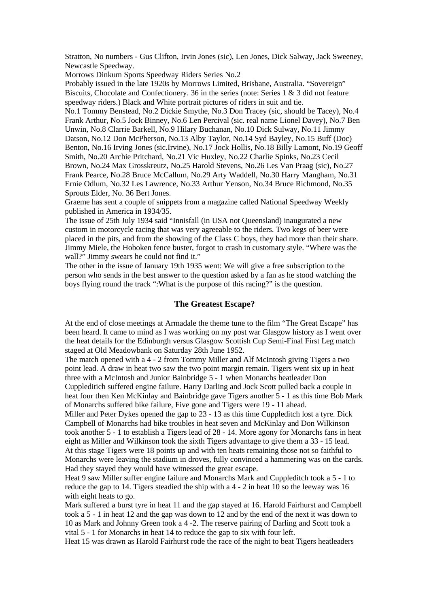Stratton, No numbers - Gus Clifton, Irvin Jones (sic), Len Jones, Dick Salway, Jack Sweeney, Newcastle Speedway.

Morrows Dinkum Sports Speedway Riders Series No.2

Probably issued in the late 1920s by Morrows Limited, Brisbane, Australia. "Sovereign" Biscuits, Chocolate and Confectionery. 36 in the series (note: Series 1 & 3 did not feature speedway riders.) Black and White portrait pictures of riders in suit and tie.

No.1 Tommy Benstead, No.2 Dickie Smythe, No.3 Don Tracey (sic, should be Tacey), No.4 Frank Arthur, No.5 Jock Binney, No.6 Len Percival (sic. real name Lionel Davey), No.7 Ben Unwin, No.8 Clarrie Barkell, No.9 Hilary Buchanan, No.10 Dick Sulway, No.11 Jimmy Datson, No.12 Don McPherson, No.13 Alby Taylor, No.14 Syd Bayley, No.15 Buff (Doc) Benton, No.16 Irving Jones (sic.Irvine), No.17 Jock Hollis, No.18 Billy Lamont, No.19 Geoff Smith, No.20 Archie Pritchard, No.21 Vic Huxley, No.22 Charlie Spinks, No.23 Cecil Brown, No.24 Max Grosskreutz, No.25 Harold Stevens, No.26 Les Van Praag (sic), No.27 Frank Pearce, No.28 Bruce McCallum, No.29 Arty Waddell, No.30 Harry Mangham, No.31 Ernie Odlum, No.32 Les Lawrence, No.33 Arthur Yenson, No.34 Bruce Richmond, No.35 Sprouts Elder, No. 36 Bert Jones.

Graeme has sent a couple of snippets from a magazine called National Speedway Weekly published in America in 1934/35.

The issue of 25th July 1934 said "Innisfall (in USA not Queensland) inaugurated a new custom in motorcycle racing that was very agreeable to the riders. Two kegs of beer were placed in the pits, and from the showing of the Class C boys, they had more than their share. Jimmy Miele, the Hoboken fence buster, forgot to crash in customary style. "Where was the wall?" Jimmy swears he could not find it."

The other in the issue of January 19th 1935 went: We will give a free subscription to the person who sends in the best answer to the question asked by a fan as he stood watching the boys flying round the track ":What is the purpose of this racing?" is the question.

#### **The Greatest Escape?**

At the end of close meetings at Armadale the theme tune to the film "The Great Escape" has been heard. It came to mind as I was working on my post war Glasgow history as I went over the heat details for the Edinburgh versus Glasgow Scottish Cup Semi-Final First Leg match staged at Old Meadowbank on Saturday 28th June 1952.

The match opened with a 4 - 2 from Tommy Miller and Alf McIntosh giving Tigers a two point lead. A draw in heat two saw the two point margin remain. Tigers went six up in heat three with a McIntosh and Junior Bainbridge 5 - 1 when Monarchs heatleader Don Cuppleditich suffered engine failure. Harry Darling and Jock Scott pulled back a couple in heat four then Ken McKinlay and Bainbridge gave Tigers another 5 - 1 as this time Bob Mark of Monarchs suffered bike failure, Five gone and Tigers were 19 - 11 ahead.

Miller and Peter Dykes opened the gap to 23 - 13 as this time Cuppleditch lost a tyre. Dick Campbell of Monarchs had bike troubles in heat seven and McKinlay and Don Wilkinson took another 5 - 1 to establish a Tigers lead of 28 - 14. More agony for Monarchs fans in heat eight as Miller and Wilkinson took the sixth Tigers advantage to give them a 33 - 15 lead. At this stage Tigers were 18 points up and with ten heats remaining those not so faithful to Monarchs were leaving the stadium in droves, fully convinced a hammering was on the cards. Had they stayed they would have witnessed the great escape.

Heat 9 saw Miller suffer engine failure and Monarchs Mark and Cuppleditch took a 5 - 1 to reduce the gap to 14. Tigers steadied the ship with a 4 - 2 in heat 10 so the leeway was 16 with eight heats to go.

Mark suffered a burst tyre in heat 11 and the gap stayed at 16. Harold Fairhurst and Campbell took a 5 - 1 in heat 12 and the gap was down to 12 and by the end of the next it was down to 10 as Mark and Johnny Green took a 4 -2. The reserve pairing of Darling and Scott took a vital 5 - 1 for Monarchs in heat 14 to reduce the gap to six with four left.

Heat 15 was drawn as Harold Fairhurst rode the race of the night to beat Tigers heatleaders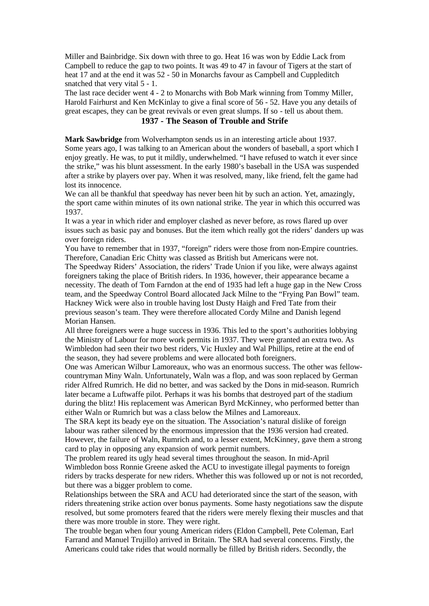Miller and Bainbridge. Six down with three to go. Heat 16 was won by Eddie Lack from Campbell to reduce the gap to two points. It was 49 to 47 in favour of Tigers at the start of heat 17 and at the end it was 52 - 50 in Monarchs favour as Campbell and Cuppleditch snatched that very vital 5 - 1.

The last race decider went 4 - 2 to Monarchs with Bob Mark winning from Tommy Miller, Harold Fairhurst and Ken McKinlay to give a final score of 56 - 52. Have you any details of great escapes, they can be great revivals or even great slumps. If so - tell us about them.

# **1937 - The Season of Trouble and Strife**

**Mark Sawbridge** from Wolverhampton sends us in an interesting article about 1937. Some years ago, I was talking to an American about the wonders of baseball, a sport which I enjoy greatly. He was, to put it mildly, underwhelmed. "I have refused to watch it ever since the strike," was his blunt assessment. In the early 1980's baseball in the USA was suspended after a strike by players over pay. When it was resolved, many, like friend, felt the game had lost its innocence.

We can all be thankful that speedway has never been hit by such an action. Yet, amazingly, the sport came within minutes of its own national strike. The year in which this occurred was 1937.

It was a year in which rider and employer clashed as never before, as rows flared up over issues such as basic pay and bonuses. But the item which really got the riders' danders up was over foreign riders.

You have to remember that in 1937, "foreign" riders were those from non-Empire countries. Therefore, Canadian Eric Chitty was classed as British but Americans were not.

The Speedway Riders' Association, the riders' Trade Union if you like, were always against foreigners taking the place of British riders. In 1936, however, their appearance became a necessity. The death of Tom Farndon at the end of 1935 had left a huge gap in the New Cross team, and the Speedway Control Board allocated Jack Milne to the "Frying Pan Bowl" team. Hackney Wick were also in trouble having lost Dusty Haigh and Fred Tate from their previous season's team. They were therefore allocated Cordy Milne and Danish legend Morian Hansen.

All three foreigners were a huge success in 1936. This led to the sport's authorities lobbying the Ministry of Labour for more work permits in 1937. They were granted an extra two. As Wimbledon had seen their two best riders, Vic Huxley and Wal Phillips, retire at the end of the season, they had severe problems and were allocated both foreigners.

One was American Wilbur Lamoreaux, who was an enormous success. The other was fellowcountryman Miny Waln. Unfortunately, Waln was a flop, and was soon replaced by German rider Alfred Rumrich. He did no better, and was sacked by the Dons in mid-season. Rumrich later became a Luftwaffe pilot. Perhaps it was his bombs that destroyed part of the stadium during the blitz! His replacement was American Byrd McKinney, who performed better than either Waln or Rumrich but was a class below the Milnes and Lamoreaux.

The SRA kept its beady eye on the situation. The Association's natural dislike of foreign labour was rather silenced by the enormous impression that the 1936 version had created. However, the failure of Waln, Rumrich and, to a lesser extent, McKinney, gave them a strong card to play in opposing any expansion of work permit numbers.

The problem reared its ugly head several times throughout the season. In mid-April Wimbledon boss Ronnie Greene asked the ACU to investigate illegal payments to foreign riders by tracks desperate for new riders. Whether this was followed up or not is not recorded, but there was a bigger problem to come.

Relationships between the SRA and ACU had deteriorated since the start of the season, with riders threatening strike action over bonus payments. Some hasty negotiations saw the dispute resolved, but some promoters feared that the riders were merely flexing their muscles and that there was more trouble in store. They were right.

The trouble began when four young American riders (Eldon Campbell, Pete Coleman, Earl Farrand and Manuel Trujillo) arrived in Britain. The SRA had several concerns. Firstly, the Americans could take rides that would normally be filled by British riders. Secondly, the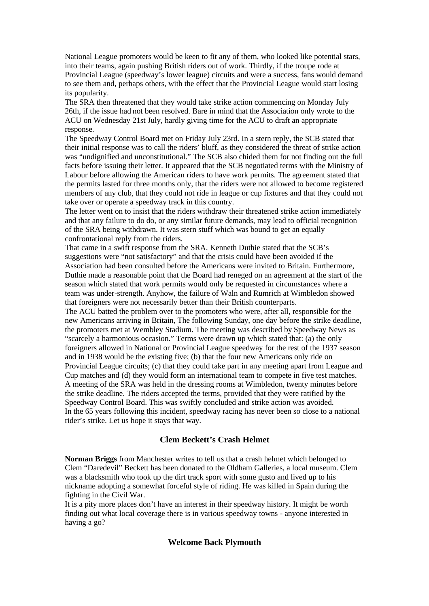National League promoters would be keen to fit any of them, who looked like potential stars, into their teams, again pushing British riders out of work. Thirdly, if the troupe rode at Provincial League (speedway's lower league) circuits and were a success, fans would demand to see them and, perhaps others, with the effect that the Provincial League would start losing its popularity.

The SRA then threatened that they would take strike action commencing on Monday July 26th, if the issue had not been resolved. Bare in mind that the Association only wrote to the ACU on Wednesday 21st July, hardly giving time for the ACU to draft an appropriate response.

The Speedway Control Board met on Friday July 23rd. In a stern reply, the SCB stated that their initial response was to call the riders' bluff, as they considered the threat of strike action was "undignified and unconstitutional." The SCB also chided them for not finding out the full facts before issuing their letter. It appeared that the SCB negotiated terms with the Ministry of Labour before allowing the American riders to have work permits. The agreement stated that the permits lasted for three months only, that the riders were not allowed to become registered members of any club, that they could not ride in league or cup fixtures and that they could not take over or operate a speedway track in this country.

The letter went on to insist that the riders withdraw their threatened strike action immediately and that any failure to do do, or any similar future demands, may lead to official recognition of the SRA being withdrawn. It was stern stuff which was bound to get an equally confrontational reply from the riders.

That came in a swift response from the SRA. Kenneth Duthie stated that the SCB's suggestions were "not satisfactory" and that the crisis could have been avoided if the Association had been consulted before the Americans were invited to Britain. Furthermore, Duthie made a reasonable point that the Board had reneged on an agreement at the start of the season which stated that work permits would only be requested in circumstances where a team was under-strength. Anyhow, the failure of Waln and Rumrich at Wimbledon showed that foreigners were not necessarily better than their British counterparts.

The ACU batted the problem over to the promoters who were, after all, responsible for the new Americans arriving in Britain, The following Sunday, one day before the strike deadline, the promoters met at Wembley Stadium. The meeting was described by Speedway News as "scarcely a harmonious occasion." Terms were drawn up which stated that: (a) the only foreigners allowed in National or Provincial League speedway for the rest of the 1937 season and in 1938 would be the existing five; (b) that the four new Americans only ride on Provincial League circuits; (c) that they could take part in any meeting apart from League and Cup matches and (d) they would form an international team to compete in five test matches. A meeting of the SRA was held in the dressing rooms at Wimbledon, twenty minutes before the strike deadline. The riders accepted the terms, provided that they were ratified by the Speedway Control Board. This was swiftly concluded and strike action was avoided. In the 65 years following this incident, speedway racing has never been so close to a national rider's strike. Let us hope it stays that way.

# **Clem Beckett's Crash Helmet**

**Norman Briggs** from Manchester writes to tell us that a crash helmet which belonged to Clem "Daredevil" Beckett has been donated to the Oldham Galleries, a local museum. Clem was a blacksmith who took up the dirt track sport with some gusto and lived up to his nickname adopting a somewhat forceful style of riding. He was killed in Spain during the fighting in the Civil War.

It is a pity more places don't have an interest in their speedway history. It might be worth finding out what local coverage there is in various speedway towns - anyone interested in having a go?

#### **Welcome Back Plymouth**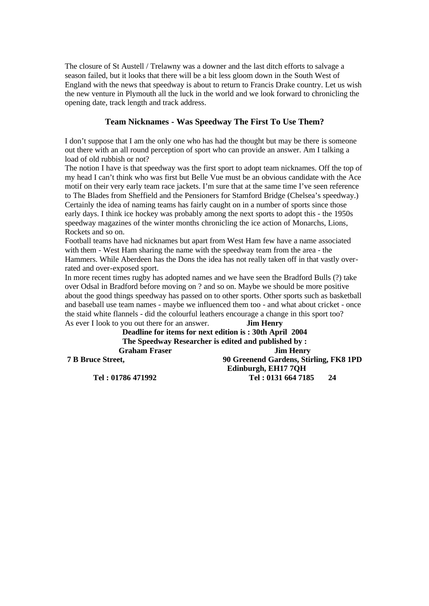The closure of St Austell / Trelawny was a downer and the last ditch efforts to salvage a season failed, but it looks that there will be a bit less gloom down in the South West of England with the news that speedway is about to return to Francis Drake country. Let us wish the new venture in Plymouth all the luck in the world and we look forward to chronicling the opening date, track length and track address.

### **Team Nicknames - Was Speedway The First To Use Them?**

I don't suppose that I am the only one who has had the thought but may be there is someone out there with an all round perception of sport who can provide an answer. Am I talking a load of old rubbish or not?

The notion I have is that speedway was the first sport to adopt team nicknames. Off the top of my head I can't think who was first but Belle Vue must be an obvious candidate with the Ace motif on their very early team race jackets. I'm sure that at the same time I've seen reference to The Blades from Sheffield and the Pensioners for Stamford Bridge (Chelsea's speedway.) Certainly the idea of naming teams has fairly caught on in a number of sports since those early days. I think ice hockey was probably among the next sports to adopt this - the 1950s speedway magazines of the winter months chronicling the ice action of Monarchs, Lions, Rockets and so on.

Football teams have had nicknames but apart from West Ham few have a name associated with them - West Ham sharing the name with the speedway team from the area - the Hammers. While Aberdeen has the Dons the idea has not really taken off in that vastly overrated and over-exposed sport.

In more recent times rugby has adopted names and we have seen the Bradford Bulls (?) take over Odsal in Bradford before moving on ? and so on. Maybe we should be more positive about the good things speedway has passed on to other sports. Other sports such as basketball and baseball use team names - maybe we influenced them too - and what about cricket - once the staid white flannels - did the colourful leathers encourage a change in this sport too? As ever I look to you out there for an answer. **Jim Henry**

**Deadline for items for next edition is : 30th April 2004 The Speedway Researcher is edited and published by : Graham Fraser Jim Henry 7 B Bruce Street, 90 Greenend Gardens, Stirling, FK8 1PD Edinburgh, EH17 7QH Tel : 01786 471992 Tel : 0131 664 7185 24**